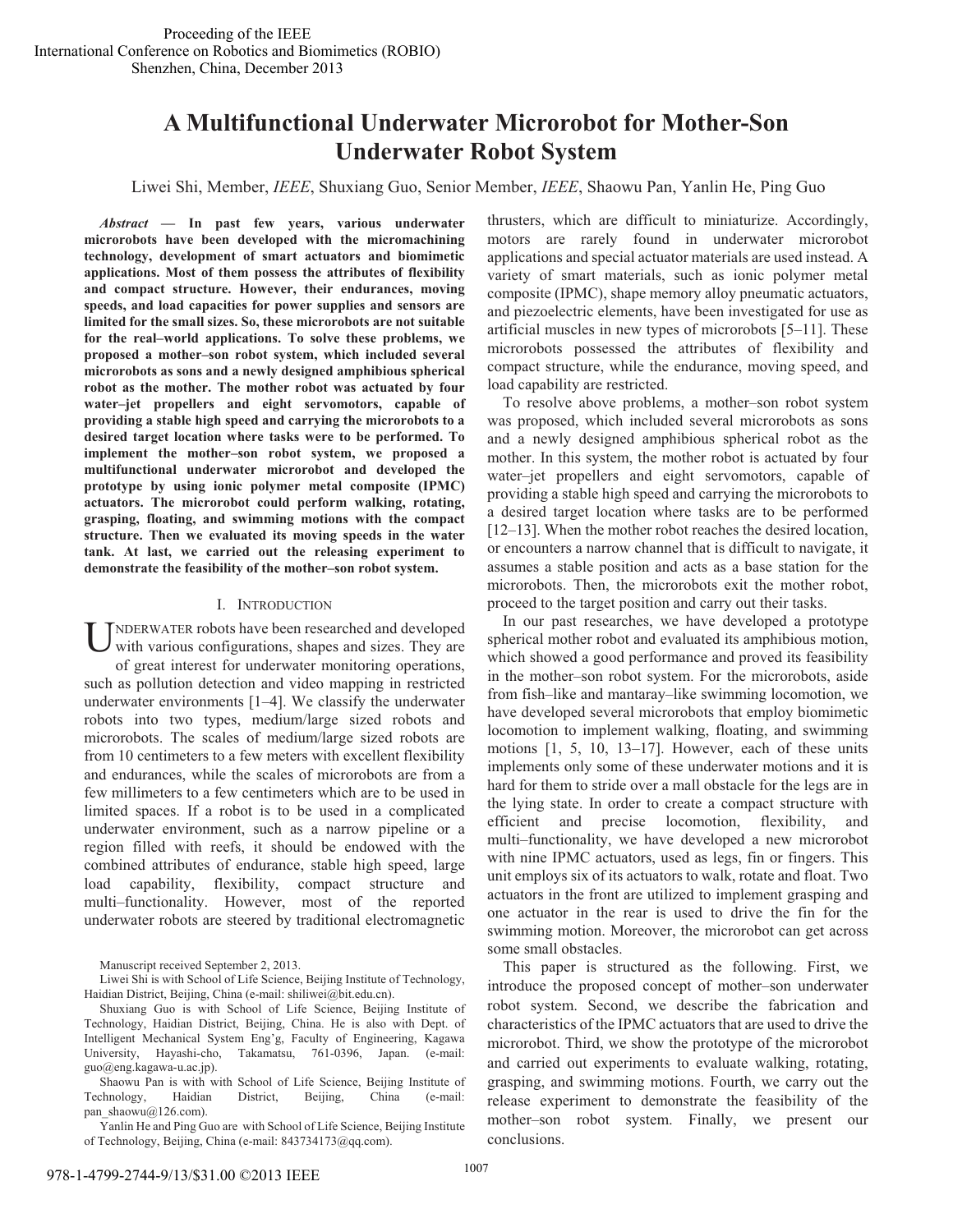# **A Multifunctional Underwater Microrobot for Mother-Son Underwater Robot System**

Liwei Shi, Member, *IEEE*, Shuxiang Guo, Senior Member, *IEEE*, Shaowu Pan, Yanlin He, Ping Guo

*Abstract* **— In past few years, various underwater microrobots have been developed with the micromachining technology, development of smart actuators and biomimetic applications. Most of them possess the attributes of flexibility and compact structure. However, their endurances, moving speeds, and load capacities for power supplies and sensors are limited for the small sizes. So, these microrobots are not suitable for the real–world applications. To solve these problems, we proposed a mother–son robot system, which included several microrobots as sons and a newly designed amphibious spherical robot as the mother. The mother robot was actuated by four water–jet propellers and eight servomotors, capable of providing a stable high speed and carrying the microrobots to a desired target location where tasks were to be performed. To implement the mother–son robot system, we proposed a multifunctional underwater microrobot and developed the prototype by using ionic polymer metal composite (IPMC) actuators. The microrobot could perform walking, rotating, grasping, floating, and swimming motions with the compact structure. Then we evaluated its moving speeds in the water tank. At last, we carried out the releasing experiment to demonstrate the feasibility of the mother–son robot system.**

## I. INTRODUCTION

UNDERWATER robots have been researched and developed<br>with various configurations, shapes and sizes. They are with various configurations, shapes and sizes. They are of great interest for underwater monitoring operations, such as pollution detection and video mapping in restricted underwater environments [1–4]. We classify the underwater robots into two types, medium/large sized robots and microrobots. The scales of medium/large sized robots are from 10 centimeters to a few meters with excellent flexibility and endurances, while the scales of microrobots are from a few millimeters to a few centimeters which are to be used in limited spaces. If a robot is to be used in a complicated underwater environment, such as a narrow pipeline or a region filled with reefs, it should be endowed with the combined attributes of endurance, stable high speed, large load capability, flexibility, compact structure and multi–functionality. However, most of the reported underwater robots are steered by traditional electromagnetic

Manuscript received September 2, 2013.

Liwei Shi is with School of Life Science, Beijing Institute of Technology, Haidian District, Beijing, China (e-mail: shiliwei@bit.edu.cn).

Shuxiang Guo is with School of Life Science, Beijing Institute of Technology, Haidian District, Beijing, China. He is also with Dept. of Intelligent Mechanical System Eng'g, Faculty of Engineering, Kagawa University, Hayashi-cho, Takamatsu, 761-0396, Japan. (e-mail: guo@eng.kagawa-u.ac.jp).

Shaowu Pan is with with School of Life Science, Beijing Institute of Technology, Haidian District, Beijing, China (e-mail: pan\_shaowu@126.com).

Yanlin He and Ping Guo are with School of Life Science, Beijing Institute of Technology, Beijing, China (e-mail: 843734173@qq.com).

thrusters, which are difficult to miniaturize. Accordingly, motors are rarely found in underwater microrobot applications and special actuator materials are used instead. A variety of smart materials, such as ionic polymer metal composite (IPMC), shape memory alloy pneumatic actuators, and piezoelectric elements, have been investigated for use as artificial muscles in new types of microrobots [5–11]. These microrobots possessed the attributes of flexibility and compact structure, while the endurance, moving speed, and load capability are restricted.

To resolve above problems, a mother–son robot system was proposed, which included several microrobots as sons and a newly designed amphibious spherical robot as the mother. In this system, the mother robot is actuated by four water–jet propellers and eight servomotors, capable of providing a stable high speed and carrying the microrobots to a desired target location where tasks are to be performed [12–13]. When the mother robot reaches the desired location, or encounters a narrow channel that is difficult to navigate, it assumes a stable position and acts as a base station for the microrobots. Then, the microrobots exit the mother robot, proceed to the target position and carry out their tasks.

In our past researches, we have developed a prototype spherical mother robot and evaluated its amphibious motion, which showed a good performance and proved its feasibility in the mother–son robot system. For the microrobots, aside from fish–like and mantaray–like swimming locomotion, we have developed several microrobots that employ biomimetic locomotion to implement walking, floating, and swimming motions [1, 5, 10, 13–17]. However, each of these units implements only some of these underwater motions and it is hard for them to stride over a mall obstacle for the legs are in the lying state. In order to create a compact structure with efficient and precise locomotion, flexibility, and multi–functionality, we have developed a new microrobot with nine IPMC actuators, used as legs, fin or fingers. This unit employs six of its actuators to walk, rotate and float. Two actuators in the front are utilized to implement grasping and one actuator in the rear is used to drive the fin for the swimming motion. Moreover, the microrobot can get across some small obstacles.

 This paper is structured as the following. First, we introduce the proposed concept of mother–son underwater robot system. Second, we describe the fabrication and characteristics of the IPMC actuators that are used to drive the microrobot. Third, we show the prototype of the microrobot and carried out experiments to evaluate walking, rotating, grasping, and swimming motions. Fourth, we carry out the release experiment to demonstrate the feasibility of the mother–son robot system. Finally, we present our conclusions.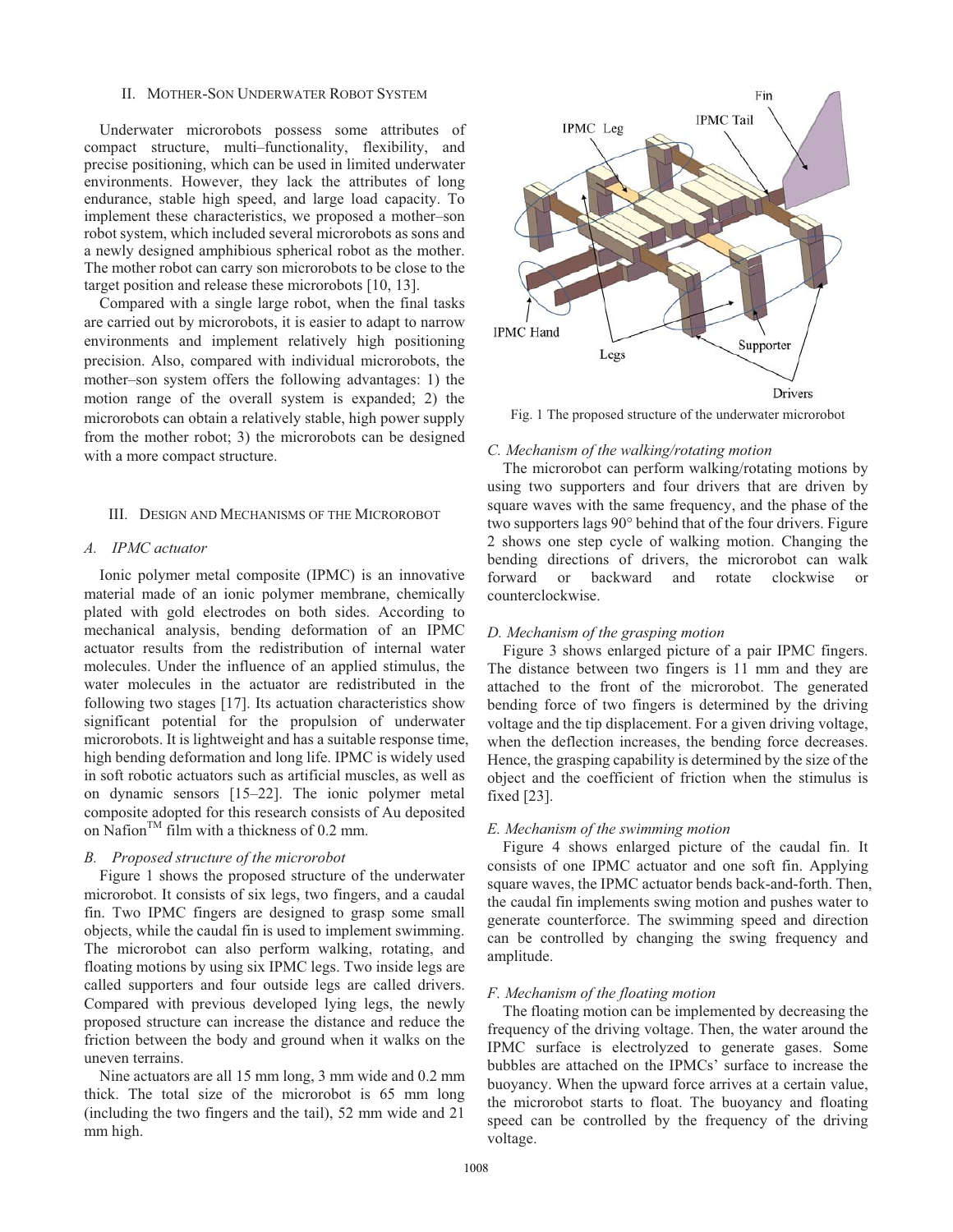## II. MOTHER-SON UNDERWATER ROBOT SYSTEM

Underwater microrobots possess some attributes of compact structure, multi–functionality, flexibility, and precise positioning, which can be used in limited underwater environments. However, they lack the attributes of long endurance, stable high speed, and large load capacity. To implement these characteristics, we proposed a mother–son robot system, which included several microrobots as sons and a newly designed amphibious spherical robot as the mother. The mother robot can carry son microrobots to be close to the target position and release these microrobots [10, 13].

Compared with a single large robot, when the final tasks are carried out by microrobots, it is easier to adapt to narrow environments and implement relatively high positioning precision. Also, compared with individual microrobots, the mother–son system offers the following advantages: 1) the motion range of the overall system is expanded; 2) the microrobots can obtain a relatively stable, high power supply from the mother robot; 3) the microrobots can be designed with a more compact structure.

#### III. DESIGN AND MECHANISMS OF THE MICROROBOT

# *A. IPMC actuator*

Ionic polymer metal composite (IPMC) is an innovative material made of an ionic polymer membrane, chemically plated with gold electrodes on both sides. According to mechanical analysis, bending deformation of an IPMC actuator results from the redistribution of internal water molecules. Under the influence of an applied stimulus, the water molecules in the actuator are redistributed in the following two stages [17]. Its actuation characteristics show significant potential for the propulsion of underwater microrobots. It is lightweight and has a suitable response time, high bending deformation and long life. IPMC is widely used in soft robotic actuators such as artificial muscles, as well as on dynamic sensors [15–22]. The ionic polymer metal composite adopted for this research consists of Au deposited on Nafion<sup>TM</sup> film with a thickness of 0.2 mm.

## *B. Proposed structure of the microrobot*

Figure 1 shows the proposed structure of the underwater microrobot. It consists of six legs, two fingers, and a caudal fin. Two IPMC fingers are designed to grasp some small objects, while the caudal fin is used to implement swimming. The microrobot can also perform walking, rotating, and floating motions by using six IPMC legs. Two inside legs are called supporters and four outside legs are called drivers. Compared with previous developed lying legs, the newly proposed structure can increase the distance and reduce the friction between the body and ground when it walks on the uneven terrains.

Nine actuators are all 15 mm long, 3 mm wide and 0.2 mm thick. The total size of the microrobot is 65 mm long (including the two fingers and the tail), 52 mm wide and 21 mm high.



Fig. 1 The proposed structure of the underwater microrobot

#### *C. Mechanism of the walking/rotating motion*

The microrobot can perform walking/rotating motions by using two supporters and four drivers that are driven by square waves with the same frequency, and the phase of the two supporters lags 90° behind that of the four drivers. Figure 2 shows one step cycle of walking motion. Changing the bending directions of drivers, the microrobot can walk forward or backward and rotate clockwise or counterclockwise.

# *D. Mechanism of the grasping motion*

Figure 3 shows enlarged picture of a pair IPMC fingers. The distance between two fingers is 11 mm and they are attached to the front of the microrobot. The generated bending force of two fingers is determined by the driving voltage and the tip displacement. For a given driving voltage, when the deflection increases, the bending force decreases. Hence, the grasping capability is determined by the size of the object and the coefficient of friction when the stimulus is fixed [23].

#### *E. Mechanism of the swimming motion*

Figure 4 shows enlarged picture of the caudal fin. It consists of one IPMC actuator and one soft fin. Applying square waves, the IPMC actuator bends back-and-forth. Then, the caudal fin implements swing motion and pushes water to generate counterforce. The swimming speed and direction can be controlled by changing the swing frequency and amplitude.

#### *F. Mechanism of the floating motion*

The floating motion can be implemented by decreasing the frequency of the driving voltage. Then, the water around the IPMC surface is electrolyzed to generate gases. Some bubbles are attached on the IPMCs' surface to increase the buoyancy. When the upward force arrives at a certain value, the microrobot starts to float. The buoyancy and floating speed can be controlled by the frequency of the driving voltage.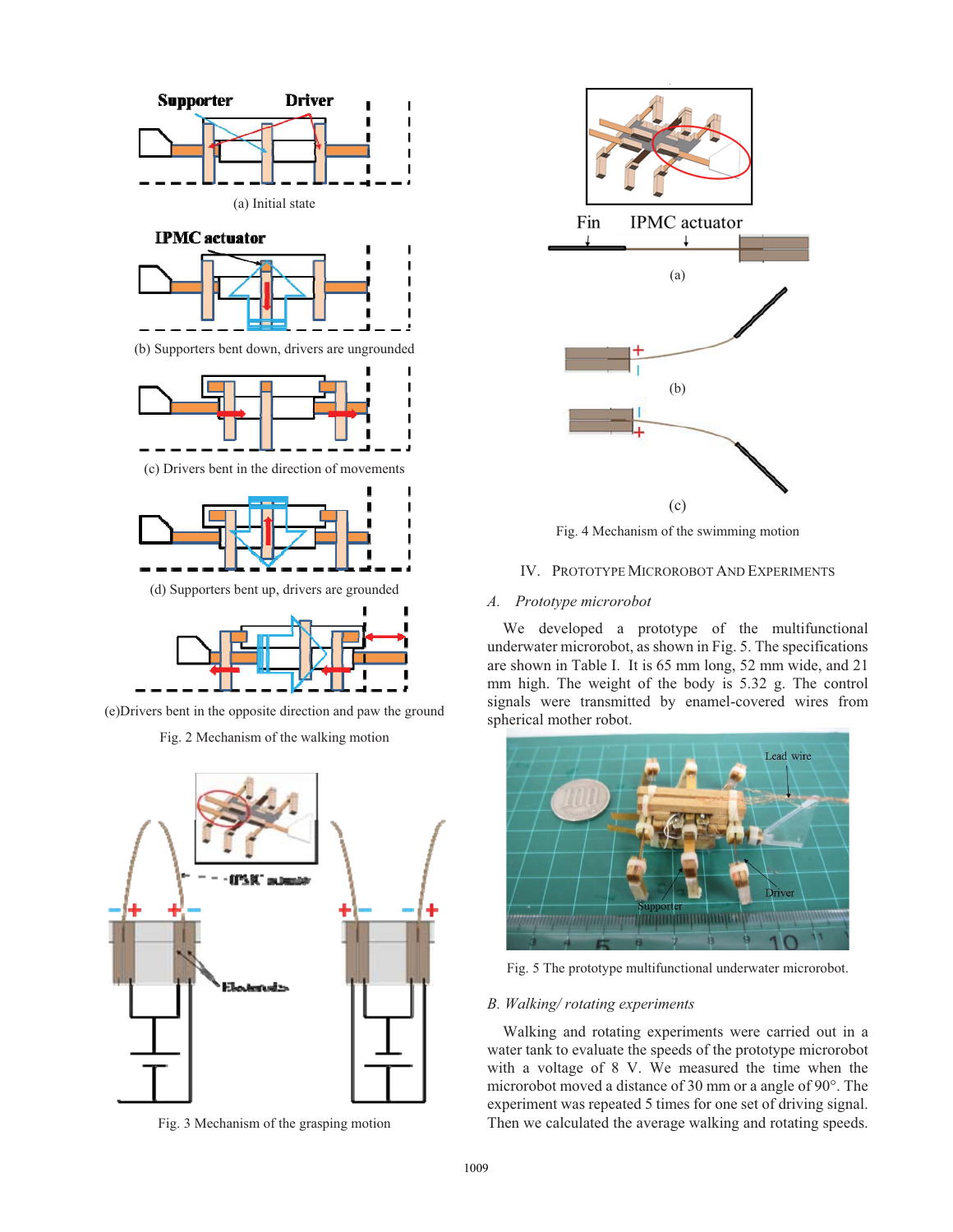



Fig. 3 Mechanism of the grasping motion



Fig. 4 Mechanism of the swimming motion

IV. PROTOTYPE MICROROBOT AND EXPERIMENTS

# *A. Prototype microrobot*

We developed a prototype of the multifunctional underwater microrobot, as shown in Fig. 5. The specifications are shown in Table I. It is 65 mm long, 52 mm wide, and 21 mm high. The weight of the body is 5.32 g. The control signals were transmitted by enamel-covered wires from spherical mother robot.



Fig. 5 The prototype multifunctional underwater microrobot.

## *B. Walking/ rotating experiments*

Walking and rotating experiments were carried out in a water tank to evaluate the speeds of the prototype microrobot with a voltage of 8 V. We measured the time when the microrobot moved a distance of 30 mm or a angle of 90°. The experiment was repeated 5 times for one set of driving signal. Then we calculated the average walking and rotating speeds.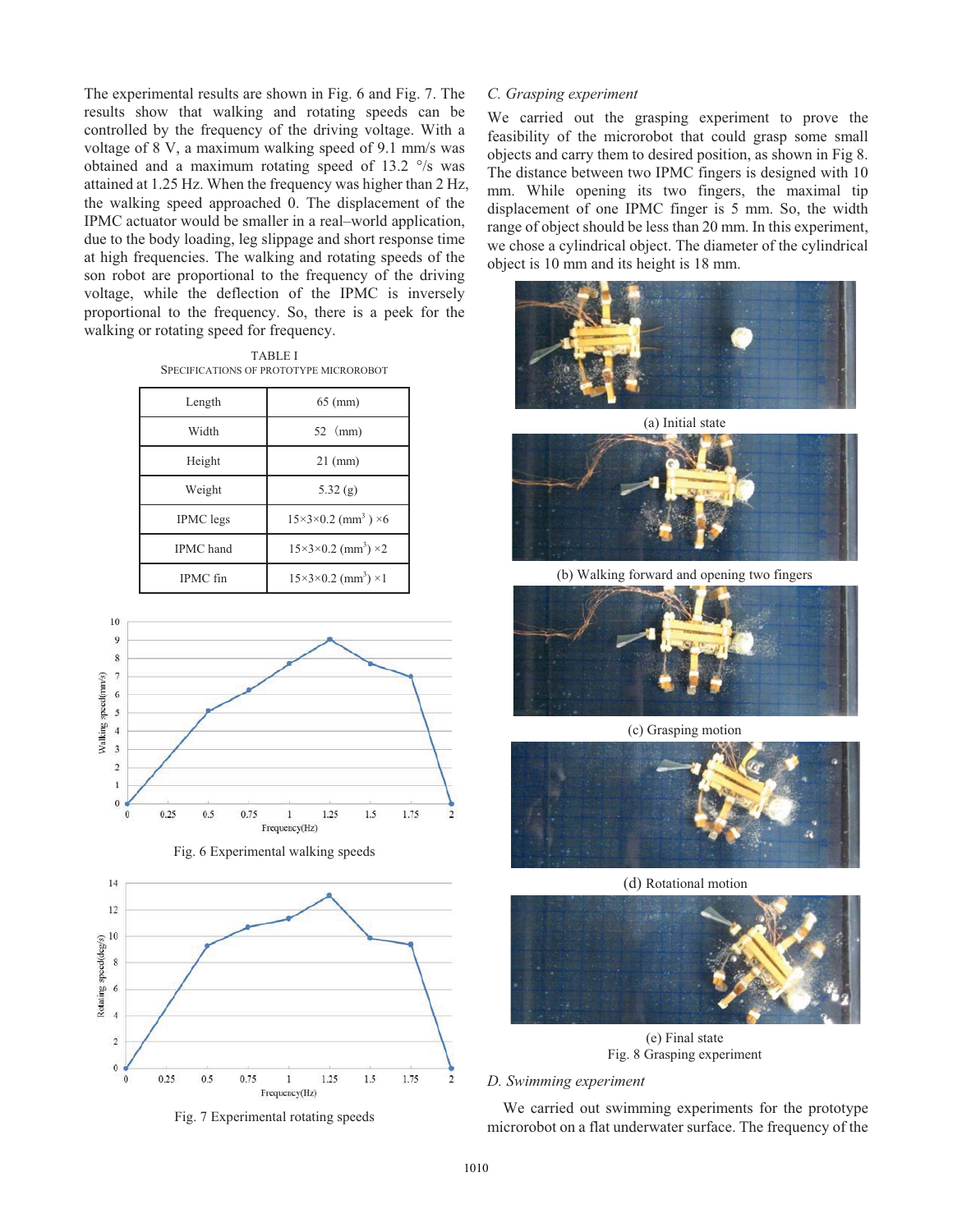The experimental results are shown in Fig. 6 and Fig. 7. The results show that walking and rotating speeds can be controlled by the frequency of the driving voltage. With a voltage of 8 V, a maximum walking speed of 9.1 mm/s was obtained and a maximum rotating speed of 13.2 °/s was attained at 1.25 Hz. When the frequency was higher than 2 Hz, the walking speed approached 0. The displacement of the IPMC actuator would be smaller in a real–world application, due to the body loading, leg slippage and short response time at high frequencies. The walking and rotating speeds of the son robot are proportional to the frequency of the driving voltage, while the deflection of the IPMC is inversely proportional to the frequency. So, there is a peek for the walking or rotating speed for frequency.

TABLE I SPECIFICATIONS OF PROTOTYPE MICROROBOT

| Length           | $65 \, \text{(mm)}$                               |
|------------------|---------------------------------------------------|
| Width            | $52 \,$ (mm)                                      |
| Height           | $21$ (mm)                                         |
| Weight           | 5.32(g)                                           |
| <b>IPMC</b> legs | $15\times3\times0.2$ (mm <sup>3</sup> ) $\times6$ |
| <b>IPMC</b> hand | $15\times3\times0.2$ (mm <sup>3</sup> ) $\times2$ |
| IPMC fin         | $15\times3\times0.2$ (mm <sup>3</sup> ) ×1        |



Fig. 6 Experimental walking speeds



Fig. 7 Experimental rotating speeds

## *C. Grasping experiment*

We carried out the grasping experiment to prove the feasibility of the microrobot that could grasp some small objects and carry them to desired position, as shown in Fig 8. The distance between two IPMC fingers is designed with 10 mm. While opening its two fingers, the maximal tip displacement of one IPMC finger is 5 mm. So, the width range of object should be less than 20 mm. In this experiment, we chose a cylindrical object. The diameter of the cylindrical object is 10 mm and its height is 18 mm.



(a) Initial state



(b) Walking forward and opening two fingers



(c) Grasping motion



(d) Rotational motion



(e) Final state Fig. 8 Grasping experiment

## *D. Swimming experiment*

We carried out swimming experiments for the prototype microrobot on a flat underwater surface. The frequency of the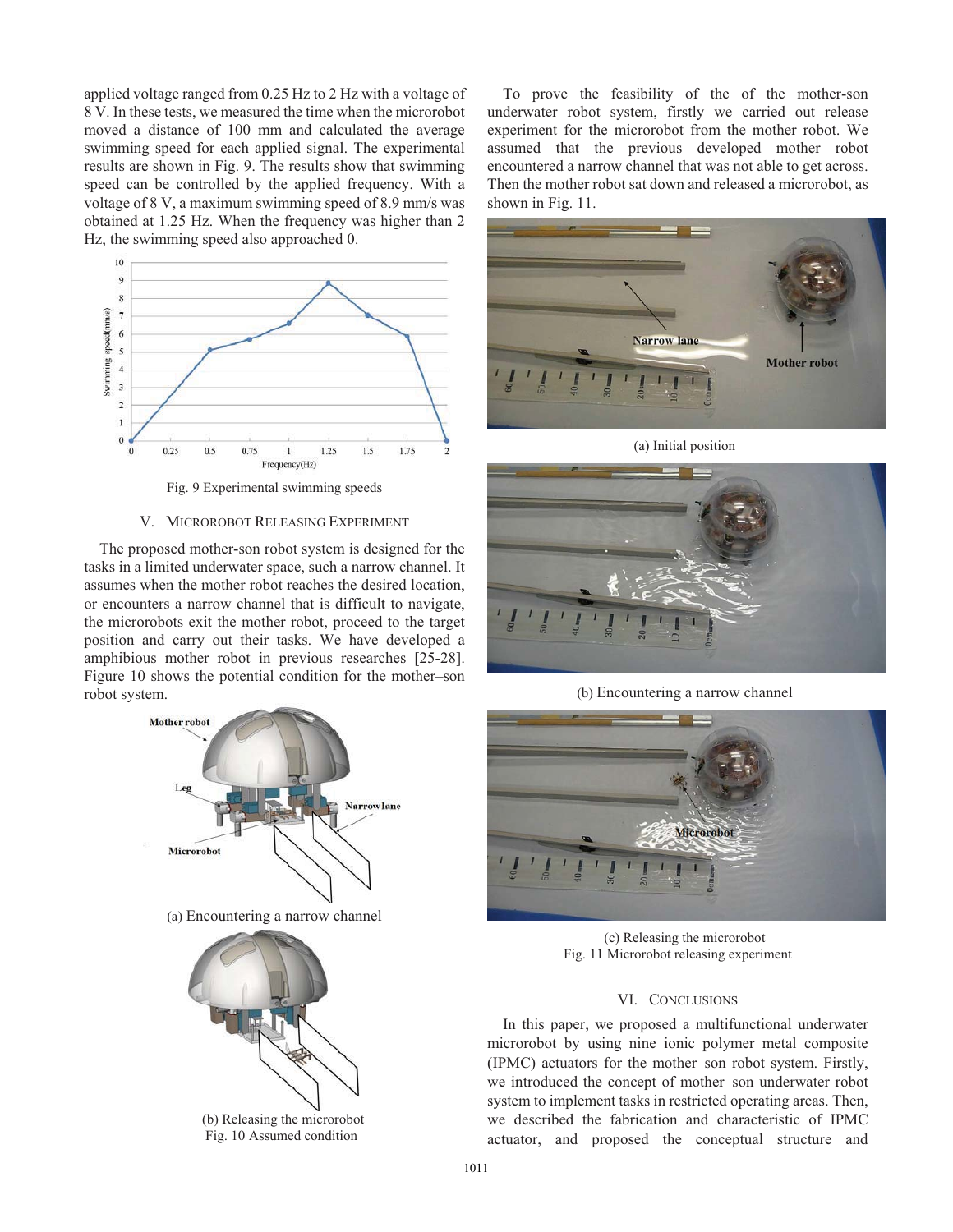applied voltage ranged from 0.25 Hz to 2 Hz with a voltage of 8 V. In these tests, we measured the time when the microrobot moved a distance of 100 mm and calculated the average swimming speed for each applied signal. The experimental results are shown in Fig. 9. The results show that swimming speed can be controlled by the applied frequency. With a voltage of 8 V, a maximum swimming speed of 8.9 mm/s was obtained at 1.25 Hz. When the frequency was higher than 2 Hz, the swimming speed also approached 0.



Fig. 9 Experimental swimming speeds

## V. MICROROBOT RELEASING EXPERIMENT

The proposed mother-son robot system is designed for the tasks in a limited underwater space, such a narrow channel. It assumes when the mother robot reaches the desired location, or encounters a narrow channel that is difficult to navigate, the microrobots exit the mother robot, proceed to the target position and carry out their tasks. We have developed a amphibious mother robot in previous researches [25-28]. Figure 10 shows the potential condition for the mother–son robot system.



Fig. 10 Assumed condition

To prove the feasibility of the of the mother-son underwater robot system, firstly we carried out release experiment for the microrobot from the mother robot. We assumed that the previous developed mother robot encountered a narrow channel that was not able to get across. Then the mother robot sat down and released a microrobot, as shown in Fig. 11.



(a) Initial position



(b) Encountering a narrow channel



(c) Releasing the microrobot Fig. 11 Microrobot releasing experiment

# VI. CONCLUSIONS

In this paper, we proposed a multifunctional underwater microrobot by using nine ionic polymer metal composite (IPMC) actuators for the mother–son robot system. Firstly, we introduced the concept of mother–son underwater robot system to implement tasks in restricted operating areas. Then, we described the fabrication and characteristic of IPMC actuator, and proposed the conceptual structure and